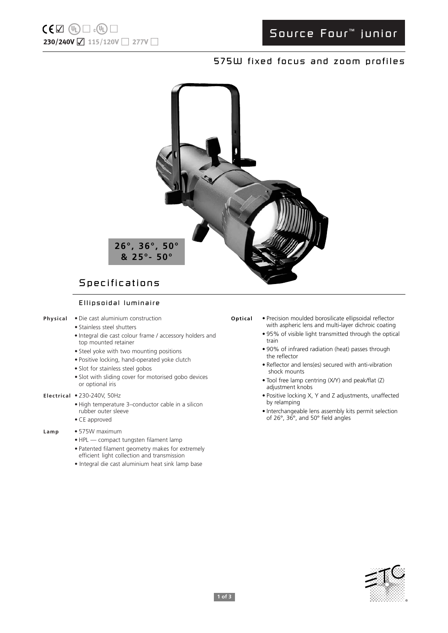# Source Four ™ junior

## 575W fixed focus and zoom profiles



# Specifications

### Ellipsoidal luminaire

- **Physical** Die cast aluminium construction
	- Stainless steel shutters
	- Integral die cast colour frame / accessory holders and top mounted retainer
	- Steel yoke with two mounting positions
	- Positive locking, hand-operated yoke clutch
	- Slot for stainless steel gobos
	- Slot with sliding cover for motorised gobo devices or optional iris
- **Electrical** 230-240V, 50Hz
	- High temperature 3–conductor cable in a silicon rubber outer sleeve • CE approved

- **Lamp** 575W maximum
	- HPL compact tungsten filament lamp
	- Patented filament geometry makes for extremely efficient light collection and transmission
	- Integral die cast aluminium heat sink lamp base

## **Optical** • Precision moulded borosilicate ellipsoidal reflector

- with aspheric lens and multi-layer dichroic coating • 95% of visible light transmitted through the optical train
- 90% of infrared radiation (heat) passes through the reflector
- Reflector and lens(es) secured with anti-vibration shock mounts
- Tool free lamp centring (X/Y) and peak/flat (Z) adjustment knobs
- Positive locking X, Y and Z adjustments, unaffected by relamping
- Interchangeable lens assembly kits permit selection of 26°, 36°, and 50° field angles

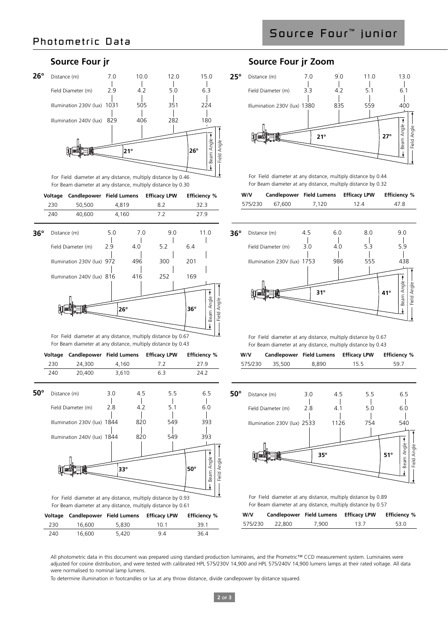Source Four ™ junior



For Field diameter at any distance, multiply distance by 0.46 For Beam diameter at any distance, multiply distance by 0.30

|              | Voltage | <b>Candlepower</b> Field Lumens                               |     |              | <b>Efficacy LPW</b> |     | <b>Efficiency %</b> |              |             |
|--------------|---------|---------------------------------------------------------------|-----|--------------|---------------------|-----|---------------------|--------------|-------------|
|              | 230     | 50,500                                                        |     | 4,819        | 8.2                 |     |                     | 32.3         |             |
|              | 240     | 40,600                                                        |     | 4,160        | 7.2                 |     |                     | 27.9         |             |
| $36^{\circ}$ |         | Distance (m)                                                  | 5.0 | 7.0          |                     | 9.0 |                     | 11.0         |             |
|              |         | Field Diameter (m)                                            | 2.9 | 4.0          | 5.2                 |     | 6.4                 |              |             |
|              |         | Illumination 230V (lux) 972                                   |     | 496          | 300                 |     | 201                 |              |             |
|              |         | Illumination 240V (lux) 816                                   |     | 416          | 252                 |     | 169                 |              |             |
|              |         |                                                               |     |              |                     |     |                     |              |             |
|              |         |                                                               |     |              |                     |     |                     |              |             |
|              |         |                                                               |     | $26^{\circ}$ |                     |     | $36^\circ$          | Beam Angle   | Field Angle |
|              |         |                                                               |     |              |                     |     |                     | ŧ            |             |
|              |         | For Field diameter at any distance, multiply distance by 0.67 |     |              |                     |     |                     |              |             |
|              |         | For Beam diameter at any distance, multiply distance by 0.43  |     |              |                     |     |                     |              |             |
|              | Voltage | Candlepower Field Lumens                                      |     |              | <b>Efficacy LPW</b> |     | <b>Efficiency %</b> |              |             |
|              | 230     | 24,300                                                        |     | 4,160        | 7.2                 |     |                     | 27.9         |             |
|              | 240     | 20,400                                                        |     | 3,610        | 6.3                 |     |                     | 24.2         |             |
| $50^\circ$   |         | Distance (m)                                                  | 3.0 | 4.5          |                     | 5.5 |                     | 6.5          |             |
|              |         | Field Diameter (m)                                            | 2.8 | 4.2          |                     | 5.1 |                     | 6.0          |             |
|              |         | Illumination 230V (lux) 1844                                  |     | 820          |                     | 549 |                     | 393          |             |
|              |         | Illumination 240V (lux) 1844                                  |     | 820          |                     | 549 |                     | 393          |             |
|              |         |                                                               |     |              |                     |     |                     |              |             |
|              |         |                                                               |     |              |                     |     |                     | seam Angle - |             |
|              |         |                                                               |     | $33^\circ$   |                     |     | $50^\circ$          |              | Field Angle |
|              |         |                                                               |     |              |                     |     |                     |              |             |

**Voltage Candlepower Field Lumens Efficacy LPW Efficiency %**  230 16,600 5,830 10.1 39.1 240 16,600 5,420 9.4 36.4

For Field diameter at any distance, multiply distance by 0.93 For Beam diameter at any distance, multiply distance by 0.61

## **Source Four jr Source Four jr Zoom**



For Field diameter at any distance, multiply distance by 0.44 For Beam diameter at any distance, multiply distance by 0.32

| W/V     | Candlepower Field Lumens |       | <b>Efficacy LPW</b> | <b>Efficiency %</b> |
|---------|--------------------------|-------|---------------------|---------------------|
| 575/230 | 67.600                   | 7.120 | 12.4                | 47.8                |



For Field diameter at any distance, multiply distance by 0.67 For Beam diameter at any distance, multiply distance by 0.43

| W/V     |        | Candlepower Field Lumens | Efficacy LPW | <b>Efficiency %</b> |
|---------|--------|--------------------------|--------------|---------------------|
| 575/230 | 35,500 | 8.890                    | 15.5         | 59.7                |



For Field diameter at any distance, multiply distance by 0.89 For Beam diameter at any distance, multiply distance by 0.57

| W/V     | Candlepower Field Lumens |       | <b>Efficacy LPW</b> | <b>Efficiency %</b> |
|---------|--------------------------|-------|---------------------|---------------------|
| 575/230 | 22,800                   | 7.900 | 13.7                | 53.0                |

All photometric data in this document was prepared using standard production luminaires, and the Prometric™ CCD measurement system. Luminaires were adjusted for cosine distribution, and were tested with calibrated HPL 575/230V 14,900 and HPL 575/240V 14,900 lumens lamps at their rated voltage. All data were normalised to nominal lamp lumens.

To determine illumination in footcandles or lux at any throw distance, divide candlepower by distance squared.